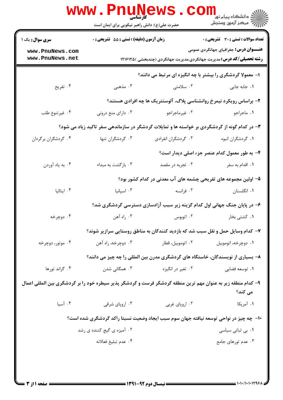|                                                                                                                         | <b>www.PnuNews</b><br>کا، شناسی<br>حضرت علی(ع): دانش راهبر نیکویی برای ایمان است |                     | <sup>اد</sup> دانشگاه پيام نور <sup>1</sup><br>ا <mark>∛</mark> مرکز آزمون وسنجش                                                                                             |  |  |
|-------------------------------------------------------------------------------------------------------------------------|----------------------------------------------------------------------------------|---------------------|------------------------------------------------------------------------------------------------------------------------------------------------------------------------------|--|--|
| <b>سری سوال :</b> یک ۱<br>www.PnuNews.com<br>www.PnuNews.net                                                            | زمان آزمون (دقیقه) : تستی : 55 آتشریحی : 0                                       |                     | <b>تعداد سوالات : تستي : 30 ٪ تشريحي : 0</b><br><b>عنـــوان درس:</b> جغرافیای جهانگردی عمومی<br><b>رشته تحصیلی/کد درس:</b> مدیریت جهانگردی،مدیریت جهانگردی (چندبخشی )۱۲۱۶۱۲۵ |  |  |
|                                                                                                                         | ا- معمولا گردشگری را بیشتر با چه انگیزه ای مرتبط می دانند؟                       |                     |                                                                                                                                                                              |  |  |
| ۰۴ تفریح                                                                                                                | ۰۳ مذهبی                                                                         | ۰۲ سلامتی           | ۰۱ جابه جایی                                                                                                                                                                 |  |  |
|                                                                                                                         |                                                                                  |                     | ۲- براساس رویکرد نیمرخ روانشناسی پلاگ، آلوسنتریک ها چه افرادی هستند؟                                                                                                         |  |  |
| ۰۴ غیرتنوع طلب                                                                                                          | ۰۳ دارای منع درونی                                                               | ۰۲ غیرماجراجو       | ٠١. ماجراجو                                                                                                                                                                  |  |  |
| ۳- در کدام گونه از گردشگردی بر خواسته ها و تمایلات گردشگر در سازماندهی سفر تاکید زیاد می شود؟                           |                                                                                  |                     |                                                                                                                                                                              |  |  |
| ۰۴ گردشگران برگردان                                                                                                     | ۰۳ گردشگران تنها                                                                 | ۰۲ گردشگران انفرادی | ٠١. گردشگران انبوه                                                                                                                                                           |  |  |
|                                                                                                                         |                                                                                  |                     | ۴- به طور معمول کدام عنصر جزء اصلی دیدار است؟                                                                                                                                |  |  |
| ۰۴ به ياد أوردن                                                                                                         | ۰۳ بازگشت به مبداء                                                               | ۰۲ تجربه در مقصد    | ۰۱ اقدام به سفر                                                                                                                                                              |  |  |
|                                                                                                                         |                                                                                  |                     | ۵– اولین مجموعه های تفریحی چشمه های آب معدنی در کدام کشور بود؟                                                                                                               |  |  |
| ايتاليا $\cdot$                                                                                                         | ۰۳ اسپانیا                                                                       | ۰۲ فرانسه           | ۰۱ انگلستان                                                                                                                                                                  |  |  |
|                                                                                                                         |                                                                                  |                     | ۶- در پایان جنگ جهانی اول کدام گزینه زیر سبب آزادسازی دسترسی گردشگری شد؟                                                                                                     |  |  |
| ۰۴ دوچرخه                                                                                                               | ۰۳ راه آهن                                                                       | ۰۲ اتوبوس           | ۰۱ کشتی بخار                                                                                                                                                                 |  |  |
|                                                                                                                         | ۷– کدام وسایل حمل و نقل سبب شد که بازدید کنندگان به مناطق روستایی سرازیر شوند؟   |                     |                                                                                                                                                                              |  |  |
| ۰۴ موتور، دوچرخه                                                                                                        | ۰۳ دوچرخه، راه آهن                                                               | ۰۲ اتوموبیل، قطار   | ۰۱ دوچرخه، اتوموبیل                                                                                                                                                          |  |  |
|                                                                                                                         |                                                                                  |                     | ۸– بسیاری از نویسندگان، خاستگاه های گردشگری مدرن بین المللی را چه چیز می دانند؟                                                                                              |  |  |
| ۰۴ گراند تورها                                                                                                          | ۰۳ همگانی شدن                                                                    | ۰۲ تغیر در انگیزه   | ۰۱ توسعه فضای <sub>ی</sub>                                                                                                                                                   |  |  |
| ۹- کدام منطقه زیر به عنوان مهم ترین منطقه گردشگر فرست و گردشگر پذیر سیطره خود را بر گردشگری بین المللی اعمال<br>می کند؟ |                                                                                  |                     |                                                                                                                                                                              |  |  |
| ۰۴ آسيا                                                                                                                 | ۰۳ اروپای شرقی                                                                   | ۰۲ اروپای غربی      | ۰۱ آمریکا                                                                                                                                                                    |  |  |
|                                                                                                                         |                                                                                  |                     | ∙۱− چه چیز در نواحی توسعه نیافته جهان سوم سبب ایجاد وضعیت نسبتا راکد گردشگری شده است؟                                                                                        |  |  |
|                                                                                                                         | ۰۲ آمیزه ی گیج کننده ی رشد                                                       |                     | ۰۱ بی ثباتی سیاسی                                                                                                                                                            |  |  |
|                                                                                                                         | ۰۴ عدم تبليغ فعالانه                                                             |                     | ۰۳ عدم تورهای جامع                                                                                                                                                           |  |  |
|                                                                                                                         |                                                                                  |                     |                                                                                                                                                                              |  |  |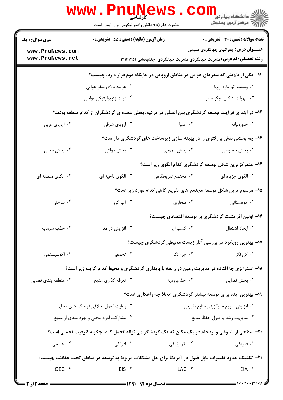|                                           | <b>www.PnuNews</b><br>کار شناس <i>ی</i><br>حضرت علی(ع): دانش راهبر نیکویی برای ایمان است |                    | ر دانشگاه پيام نور <mark>−ا</mark><br>ار <i>آخر مرکز</i> آزمون وسنجش                                                         |
|-------------------------------------------|------------------------------------------------------------------------------------------|--------------------|------------------------------------------------------------------------------------------------------------------------------|
| <b>سری سوال : ۱ یک</b>                    | زمان آزمون (دقیقه) : تستی : 55 آتشریحی : 0                                               |                    | تعداد سوالات : تستى : 30 ٪ تشريحي : 0                                                                                        |
| www.PnuNews.com<br>www.PnuNews.net        |                                                                                          |                    | <b>عنـــوان درس:</b> جغرافیای جهانگردی عمومی<br><b>رشته تحصیلی/کد درس:</b> مدیریت جهانگردی،مدیریت جهانگردی (چندبخشی )۱۲۱۶۱۲۵ |
|                                           |                                                                                          |                    | 1۱- یکی از دلایلی که سفرهای هوایی در مناطق اروپایی در جایگاه دوم قرار دارد، چیست؟                                            |
|                                           | ۰۲ هزینه بالای سفر هوایی                                                                 |                    | ۰۱ وسعت کم قاره اروپا                                                                                                        |
|                                           | ۰۴ ثبات ژئوپولیتیکی تواحی                                                                |                    | ۰۳ سهولت اشکال دیگر سفر                                                                                                      |
|                                           |                                                                                          |                    | ۱۲– در ابتدای فرآیند توسعه گردشگری بین المللی در ترکیه، بخش عمده ی گردشگران از کدام منطقه بودند؟                             |
| ۰۴ اروپای غربی                            | ۰۳ اروپای شرقی                                                                           | ۰۲ آسیا            | ۰۱ خاورمیانه                                                                                                                 |
|                                           |                                                                                          |                    | ۱۳- چه بخشی نقش بزرگتری را در بهینه سازی زیرساخت های گردشگری داراست؟                                                         |
| ۴. بخش محلی                               | ۰۳ بخش دولتی                                                                             | ۰۲ بخش عمومی       | ١. بخش خصوصى                                                                                                                 |
|                                           |                                                                                          |                    | ۱۴- متمرکزترین شکل توسعه گردشگری کدام الگوی زیر است؟                                                                         |
| ۰۴ الگوی منطقه ای                         | ۰۳ الگوی ناحیه ای                                                                        | ۰۲ مجتمع تفریحگاهی | ۰۱ الگوی جزیره ای                                                                                                            |
|                                           |                                                                                          |                    | ۱۵– مرسوم ترین شکل توسعه مجتمع های تفریح گاهی کدام مورد زیر است؟                                                             |
| ۰۴ ساحلی                                  | ۰۳ آب گرو                                                                                | ۰۲ صحاری           | ۰۱ کوهستانی                                                                                                                  |
|                                           |                                                                                          |                    | ۱۶– اولین اثر مثبت گردشگری بر توسعه اقتصادی چیست؟                                                                            |
| ۰۴ جذب سرمايه                             | ۰۳ افزایش درآمد                                                                          |                    |                                                                                                                              |
|                                           |                                                                                          |                    | ۱۷- بهترین رویکرد در بررسی آثار زیست محیطی گردشگری چیست؟                                                                     |
| ۰۴ اکوسیستمی                              | ۰۳ تجمعی                                                                                 | ۰۲ جزء نگر         | ۰۱ کل نگر                                                                                                                    |
|                                           |                                                                                          |                    | ۱۸- استراتژی جا افتاده در مدیریت زمین در رابطه با پایداری گردشگری و محیط کدام گزینه زیر است؟                                 |
| ۰۴ منطقه بندی فضایی                       | ۰۳ تعرفه گذاري منابع                                                                     | ۰۲ اخذ وروديه      | ۰۱ بخش فضایی                                                                                                                 |
|                                           |                                                                                          |                    | ۱۹- بهترین ایده برای توسعه بیشتر گردشگری اتخاذ جه راهکاری است؟                                                               |
|                                           | ۰۲ رعایت اصول اخلاقی فرهنگ های محلی                                                      |                    | ٠١ افزايش سريع جايگزيني منابع طبيعي                                                                                          |
| ۰۴ مشارکت افراد محلی و بهره مندی از منابع |                                                                                          |                    | ٠٣ مديريت رشد با قبول حفظ منابع                                                                                              |
|                                           |                                                                                          |                    | ۲۰- سطحی از شلوغی و ازدحام در یک مکان که یک گردشگر می تواند تحمل کند، چگونه ظرفیت تحملی است؟                                 |
| ۰۴ جسمی                                   | ۰۳ ادراکی                                                                                | ۰۲ اکولوژیکی       | ۰۱ فیزیکی                                                                                                                    |
|                                           |                                                                                          |                    | <b>۲۱</b> - تکنیک حدود تغییرات قابل قبول در آمریکا برای حل مشکلات مربوط به توسعه در مناطق تحت حفاظت چیست؟                    |
| OEC . ۴                                   | $EIS \cdot Y$                                                                            | LAC .Y             | EIA .1                                                                                                                       |
| <b>ــــــــــــــــ صفحه 2 از 3 ـــ</b>   |                                                                                          |                    |                                                                                                                              |